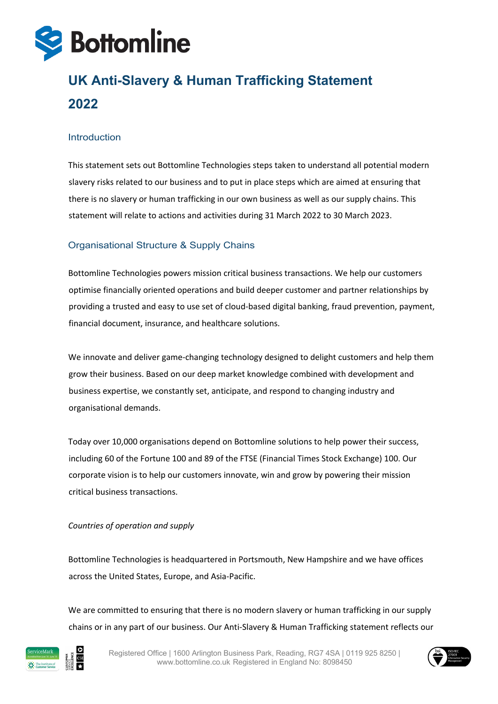

# **UK Anti-Slavery & Human Trafficking Statement 2022**

#### Introduction

This statement sets out Bottomline Technologies steps taken to understand all potential modern slavery risks related to our business and to put in place steps which are aimed at ensuring that there is no slavery or human trafficking in our own business as well as our supply chains. This statement will relate to actions and activities during 31 March 2022 to 30 March 2023.

# Organisational Structure & Supply Chains

Bottomline Technologies powers mission critical business transactions. We help our customers optimise financially oriented operations and build deeper customer and partner relationships by providing a trusted and easy to use set of cloud-based digital banking, fraud prevention, payment, financial document, insurance, and healthcare solutions.

We innovate and deliver game-changing technology designed to delight customers and help them grow their business. Based on our deep market knowledge combined with development and business expertise, we constantly set, anticipate, and respond to changing industry and organisational demands.

Today over 10,000 organisations depend on Bottomline solutions to help power their success, including 60 of the Fortune 100 and 89 of the FTSE (Financial Times Stock Exchange) 100. Our corporate vision is to help our customers innovate, win and grow by powering their mission critical business transactions.

#### *Countries of operation and supply*

Bottomline Technologies is headquartered in Portsmouth, New Hampshire and we have offices across the United States, Europe, and Asia-Pacific.

We are committed to ensuring that there is no modern slavery or human trafficking in our supply chains or in any part of our business. Our Anti-Slavery & Human Trafficking statement reflects our



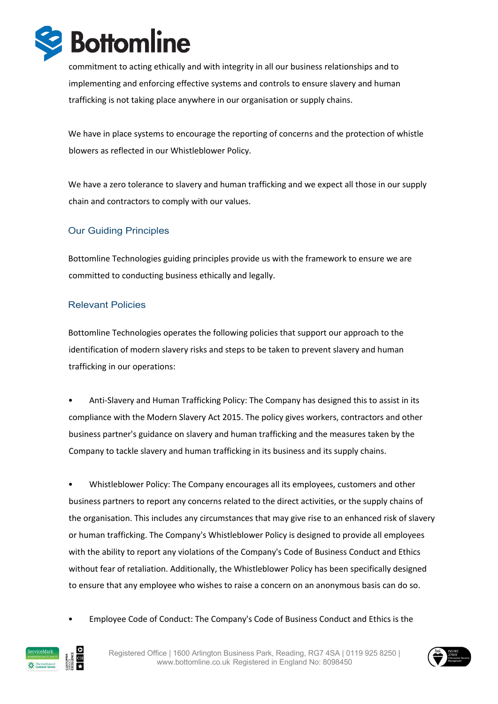

commitment to acting ethically and with integrity in all our business relationships and to implementing and enforcing effective systems and controls to ensure slavery and human trafficking is not taking place anywhere in our organisation or supply chains.

We have in place systems to encourage the reporting of concerns and the protection of whistle blowers as reflected in our Whistleblower Policy.

We have a zero tolerance to slavery and human trafficking and we expect all those in our supply chain and contractors to comply with our values.

# Our Guiding Principles

Bottomline Technologies guiding principles provide us with the framework to ensure we are committed to conducting business ethically and legally.

## Relevant Policies

Bottomline Technologies operates the following policies that support our approach to the identification of modern slavery risks and steps to be taken to prevent slavery and human trafficking in our operations:

• Anti-Slavery and Human Trafficking Policy: The Company has designed this to assist in its compliance with the Modern Slavery Act 2015. The policy gives workers, contractors and other business partner's guidance on slavery and human trafficking and the measures taken by the Company to tackle slavery and human trafficking in its business and its supply chains.

• Whistleblower Policy: The Company encourages all its employees, customers and other business partners to report any concerns related to the direct activities, or the supply chains of the organisation. This includes any circumstances that may give rise to an enhanced risk of slavery or human trafficking. The Company's Whistleblower Policy is designed to provide all employees with the ability to report any violations of the Company's Code of Business Conduct and Ethics without fear of retaliation. Additionally, the Whistleblower Policy has been specifically designed to ensure that any employee who wishes to raise a concern on an anonymous basis can do so.

• Employee Code of Conduct: The Company's Code of Business Conduct and Ethics is the



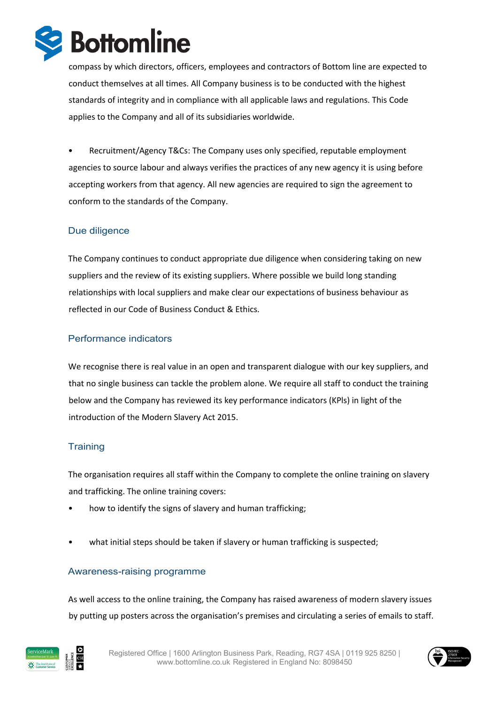

compass by which directors, officers, employees and contractors of Bottom line are expected to conduct themselves at all times. All Company business is to be conducted with the highest standards of integrity and in compliance with all applicable laws and regulations. This Code applies to the Company and all of its subsidiaries worldwide.

• Recruitment/Agency T&Cs: The Company uses only specified, reputable employment agencies to source labour and always verifies the practices of any new agency it is using before accepting workers from that agency. All new agencies are required to sign the agreement to conform to the standards of the Company.

# Due diligence

The Company continues to conduct appropriate due diligence when considering taking on new suppliers and the review of its existing suppliers. Where possible we build long standing relationships with local suppliers and make clear our expectations of business behaviour as reflected in our Code of Business Conduct & Ethics.

## Performance indicators

We recognise there is real value in an open and transparent dialogue with our key suppliers, and that no single business can tackle the problem alone. We require all staff to conduct the training below and the Company has reviewed its key performance indicators (KPls) in light of the introduction of the Modern Slavery Act 2015.

## **Training**

The organisation requires all staff within the Company to complete the online training on slavery and trafficking. The online training covers:

- how to identify the signs of slavery and human trafficking;
- what initial steps should be taken if slavery or human trafficking is suspected;

#### Awareness-raising programme

As well access to the online training, the Company has raised awareness of modern slavery issues by putting up posters across the organisation's premises and circulating a series of emails to staff.